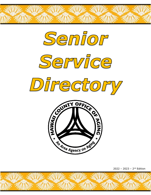









2022 – 2023 – 2nd Edition

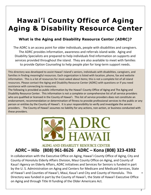# **Hawai'i County Office of Aging Aging & Disability Resource Center**

## **What is the Aging and Disability Resource Center (ADRC)?**

The ADRC is an access point for older individuals, people with disabilities and caregivers. The ADRC provides information, awareness and referrals island-wide. Aging and Disability Specialists are prepared to help individuals find information on supports and services provided throughout the island. They are also available to meet with families to provide Option Counseling to help people plan for long-term support needs.

This directory was developed to assist Hawai'i Island's seniors, individuals with disabilities, caregivers, and families in finding meaningful resources. Each organization is listed with location, phone, fax and website information. This is a list of resources for most asked about items; this is not a complete list of all island resources. Please contact the Aging and Disability Resource Center (ADRC) with questions or if you need assistance with connecting to resources.

The following is provided as public information by the Hawai'i County Office of Aging and The Aging and Disability Resource Center. This information is not a complete or comprehensive list of all service providers who are qualified or licensed in the County of Hawai'i. This list of service providers does not constitute an endorsement, recommendation or determination of fitness to provide professional services to the public or any person or entities by the County of Hawai'i. It is your responsibility to verify and investigate the service providers. The County of Hawai'i assumes no liability for any actions, non-action, or business conducted with these providers.



Ĩ

## AGING AND DISABILITY RESOURCE CENTER **ADRC – Hilo (808) 961-8626 ADRC – Kona (808) 323-4392**

In collaboration with the Executive Office on Aging, Hawai'i County Office of Aging, City and County of Honolulu Elderly Affairs Division, Maui County Office on Aging, and County of Kaua'i Agency on Elderly Affairs, ADRC initiatives and Services for Seniors is funded in part by the U. S. Administration on Aging and Centers for Medicare and Medicaid Services, State of Hawai'i and Counties of Hawai'i, Maui, Kaua'i and City and County of Honolulu. This Directory was funded in part by the County of Hawai'i, the State of Hawai'i Executive Office on Aging and through Title III funding of the Older Americans Act.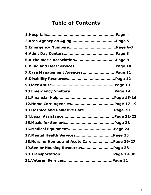## **Table of Contents**

| 7. Case Management Agencies Page 11         |  |
|---------------------------------------------|--|
|                                             |  |
|                                             |  |
|                                             |  |
|                                             |  |
|                                             |  |
| 13. Hospice and Palliative Care Page 20     |  |
|                                             |  |
|                                             |  |
|                                             |  |
| 17. Mental Health Services Page 25          |  |
| 18. Nursing Homes and Acute Care Page 26-27 |  |
| 19.Senior Housing ResourcesPage 28          |  |
|                                             |  |
|                                             |  |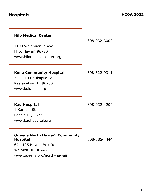## **Hilo Medical Center**

808-932-3000

1190 Waianuenue Ave Hilo, Hawai'i 96720 www.hilomedicalcenter.org

## **Kona Community Hospital** 808-322-9311

79-1019 Haukapila St Kealakekua HI. 96750 www.kch.hhsc.org

**Kau Hospital** 808-932-4200

1 Kamani St**.** Pahala HI, 96777 www.kauhospital.org

## **Queens North Hawai'i Community Hospital** 808-885-4444

67-1125 Hawaii Belt Rd Waimea HI, 96743 www.queens.org/north-hawaii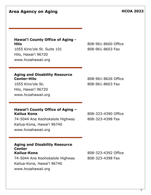5

**Area Agency on Aging HCOA 2022** 

### **Hawai'i County Office of Aging - Hilo** 808-961-8600 Office

1055 Kino'ole St. Suite 101 808-961-8603 Fax Hilo, Hawai'i 96720 www.hcoahawaii.org

## **Aging and Disability Resource Center-Hilo** 808-961-8626 Office

1055 Kino'ole St. 2008-961-8603 Fax Hilo, Hawai'i 96720 www.hcoahawaii.org

### **Hawai'i County Office of Aging – Kailua Kona** 808-323-4390 Office

74-5044 Ane Keohokalole Highway 808-323-4398 Fax Kailua-Kona, Hawai'i 96740 www.hcoahawaii.org

## **Aging and Disability Resource Center Kailua-Kona** 808-323-4392 Office 74-5044 Ane Keohokalole Highway 808-323-4398 Fax

Kailua-Kona, Hawai'i 96740 www.hcoahawaii.org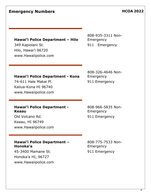## **Hawai'i Police Department – Hilo**

Hilo, Hawai'i 96720 www.Hawaiipolice.com

808-935-3311 Non-Emergency 349 Kapiolani St. 911 Emergency

**Hawai'i Police Department - Kona** 74-611 Hale Makai Pl. 911 Emergency

Kailua-Kona HI 96740 www.Hawaiipolice.com 808-326-4646 Non-Emergency

## **Hawai'i Police Department - Keaau**

Old Volcano Rd. 911 Emergency Keaau, HI 96749 www.Hawaiipolice.com

## **Hawai'i Police Department – Honoka'a**

45-3400 Mamane St. 911 Emergency Honoka'a HI, 96727 www.Hawaiipolice.com

808-966-5835 Non-Emergency

808-775-7533 Non-Emergency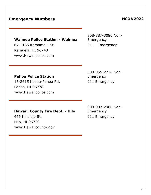## **Emergency Numbers HCOA 2022**

## **Waimea Police Station - Waimea**

67-5185 Kamamalu St. 911 Emergency Kamuela, HI 96743 www.Hawaiipolice.com

808-887-3080 Non-Emergency

**Pahoa Police Station**

15-2615 Keaau-Pahoa Rd. 911 Emergency Pahoa, HI 96778 www.Hawaiipolice.com

808-965-2716 Non-Emergency

### **Hawai'i County Fire Dept. - Hilo**

466 Kino'ole St. 911 Emergency Hilo, HI 96720 www.Hawaiicounty.gov

808-932-2900 Non-Emergency

7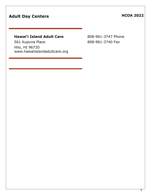## Adult Day Centers **Manual Adult Day Centers HCOA 2022**

## **Hawai'i Island Adult Care** 808-961-3747 Phone

561 Kupuna Place 808-961-3740 Fax Hilo, HI 96720 www.hawaiiislandadultcare.org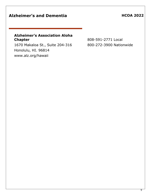## Alzheimer's and Dementia **HCOA 2022**

## **Alzheimer's Association Aloha Chapter** 808-591-2771 Local

1670 Makaloa St., Suite 204-316 800-272-3900 Nationwide Honolulu, HI. 96814 www.alz.org/hawaii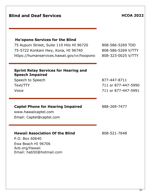# **Ho'opono Services for the Blind** 75 Aupuni Street, Suite 110 Hilo HI 96720 808-586-5269 TDD 75-5722 Konkani Hwy, Kona, HI 96740 808-586-5269 V/TTY https://humanservices.hawaii.gov/vr/hoopono 808-323-0025 V/TTY **Sprint Relay Services for Hearing and Speech Impaired** Speech to Speech 877-447-8711 Text/TTY 711 or 877-447-5990 Voice 711 or 877-447-5991 **Captel Phone for Hearing Impaired** 888-269-7477 www.hawaiicaptel.com

Email: Captel@captel.com

## **Hawaii Association Of the Blind** 808-521-7648

P.O. Box 60640 Ewa Beach HI 96706 Acb.org/Hawaii Email: hab50@hotmail.com

## **Blind and Deaf Services HCOA 2022**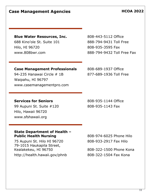11

## **Case Management Agencies HCOA 2022**

## **Blue Water Resources, Inc.** 808-443-5112 Office

688 Kino'ole St. Suite 101 888-794-9431 Toll Free Hilo, HI 96720 808-935-3595 Fax www.808bwr.com 888-794-9432 Toll Free Fax

## **Case Management Professionals** 808-689-1937 Office

94-235 Hanawai Circle # 1B 877-689-1936 Toll Free Waipahu, HI 96797 www.casemanagementpro.com

## **Services for Seniors** 808-935-1144 Office

99 Aupuni St. Suite #120 808-935-1143 Fax Hilo, Hawaii 96720 www.sfshawaii.org

## **State Department of Health – Public Health Nursing 2008-974-6025 Phone Hilo**

75 Aupuni St. Hilo HI 96720 808-933-2917 Fax Hilo 79-1015 Haukapila Street, Kealakekeu, HI 96750 808-322-1500 Phone Kona

http://health.hawaii.gov/phnb 808-322-1504 Fax Kona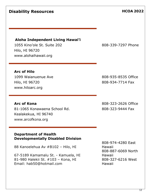## **Disability Resources HCOA 2022**

**Aloha Independent Living Hawai'i**

1055 Kino'ole St. Suite 202 808-339-7297 Phone Hilo, HI 96720 www.alohaihawaii.org

**Arc of Hilo** 1099 Waianuenue Ave 808-935-8535 Office Hilo, HI 96720 808-934-7714 Fax www.hiloarc.org

**Arc of Kona** 808-323-2626 Office 81-1065 Konawaena School Rd. 808-323-9444 Fax Kealakekua, HI 96740 www.arcofkona.org

## **Department of Health Developmentally Disabled Division**

88 Kanoelehua Av #B102 – Hilo, HI

67-5189 Kamamalu St. - Kamuela, HI 81-980 Halekii St. #103 – Kona, HI Email: hab50@hotmail.com

808-974-4280 East Hawaii 808-887-6069 North Hawaii 808-327-6216 West Hawaii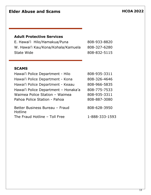## **Adult Protective Services**

|            | E. Hawai'i Hilo/Hamakua/Puna       | 808-933-8820 |
|------------|------------------------------------|--------------|
|            | W. Hawai'i Kau/Kona/Kohala/Kamuela | 808-327-6280 |
| State Wide |                                    | 808-832-5115 |

## **SCAMS**

| Hawai'i Police Department - Hilo          | 808-935-3311   |
|-------------------------------------------|----------------|
| Hawai'i Police Department - Kona          | 808-326-4646   |
| Hawai'i Police Department - Keaau         | 808-966-5835   |
| Hawai'i Police Department - Honaka'a      | 808-775-7533   |
| Waimea Police Station - Waimea            | 808-935-3311   |
| Pahoa Police Station - Pahoa              | 808-887-3080   |
| Better Business Bureau - Fraud<br>Hotline | 808-628-3950   |
| The Fraud Hotline - Toll Free             | 1-888-333-1593 |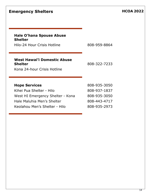## **Emergency Shelters HCOA 2022**

# **Hale O'hana Spouse Abuse**

**Shelter**

Hilo-24 Hour Crisis Hotline 808-959-8864

## **West Hawai'i Domestic Abuse Shelter** 808-322-7233

Kona 24-hour Crisis Hotline

## **Hope Services 808-935-3050**

Kihei Pua Shelter - Hilo 808-937-1837 West HI Emergency Shelter - Kona 808-935-3050 Hale Maluhia Men's Shelter 808-443-4717 Keolahou Men's Shelter - Hilo 808-935-2973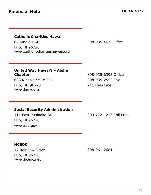## **Financial Help HCOA 2022**

### **Catholic Charities Hawaii**

62 Kino'ole St. 808-935-4673 Office Hilo, HI 96720 www.catholiccharitieshawaii.org

## **United Way Hawai'i – Aloha Chapter** 808-935-6393 Office

688 Kinoole St. # 201 808-935-2553 Fax Hilo, HI. 96720 211 Help Line www.hiuw.org

### **Social Security Administration**

Hilo, HI 96720 www.ssa.gov

111 East Puainako St. 800-772-1213 Toll Free

### **HCEOC**

47 Rainbow Drive 808-961-2681 Hilo, HI 96720 www.hceoc.net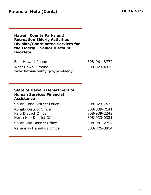| <b>Financial Help (Cont.)</b> |  |  |
|-------------------------------|--|--|
|-------------------------------|--|--|

**Hawai'i County Parks and Recreation Elderly Activities Division/Coordinated Services for the Elderly – Senior Discount Booklets**

East Hawai'i Phone 808-961-8777 West Hawai'i Phone 808-323-4320 www.hawaiicounty.gov/pr-elderly

### **State of Hawai'i Department of Human Services Financial Assistance**

| South Kona District Office | 808-323-7573 |
|----------------------------|--------------|
| Kohalo District Office     | 808-889-7141 |
| Ka'u District Office       | 808-939-2242 |
| North Hilo District Office | 808-933-0331 |
| South Hilo District Office | 808-981-2754 |
| Kamuela- Hamakua Office    | 808-775-8854 |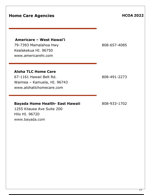## **Home Care Agencies HOME 2022**

## **Americare – West Hawai'i**

79-7393 Mamalahoa Hwy 808-657-4085 Kealakekua HI. 96750 www.americarehi.com

## **Aloha TLC Home Care**

67-1161 Hawaii Belt Rd. 808-491-2273 Waimea – Kamuela, HI. 96743 www.alohatlchomecare.com

## **Bayada Home Health- East Hawaii** 808-933-1702

1255 Kilauea Ave Suite 200 Hilo HI. 96720 www.bayada.com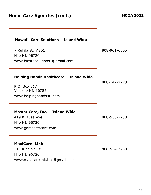| <b>Home Care Agencies (cont.)</b>                                                                             | <b>HCOA 2022</b> |
|---------------------------------------------------------------------------------------------------------------|------------------|
| Hawai'i Care Solutions - Island Wide<br>7 Kukila St. #201<br>Hilo HI. 96720<br>www.hicaresolutions1@gmail.com | 808-961-6505     |
| Helping Hands Healthcare - Island Wide<br>P.O. Box 817<br>Volcano HI. 96785<br>www.helpinghands4u.com         | 808-747-2273     |
| Master Care, Inc. - Island Wide<br>419 Kilauea Ave<br>Hilo HI, 96720<br>www.gomastercare.com                  | 808-935-2230     |
| <b>MaxiCare-Link</b><br>311 Kino'ole St.<br>Hilo HI. 96720<br>www.maxicarelink.hilo@gmail.com                 | 808-934-7733     |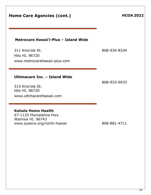| <b>Home Care Agencies (cont.)</b>                                                                          | <b>HCOA 2022</b> |
|------------------------------------------------------------------------------------------------------------|------------------|
| Metrocare Hawai'i-Plus - Island Wide<br>311 Kino'ole St.<br>Hilo HI. 96720<br>www.metrocarehawaii-plus.com | 808-934-8334     |
| Ultimacare Inc. - Island Wide<br>315 Kino'ole St.<br>Hilo HI. 96720<br>www.ultimacarehawaii.com            | 808-933-9933     |
| <b>Kohala Home Health</b><br>67-1125 Mamalahoa Hwy<br>Waimea HI. 96743<br>www.queens.org/north-hawaii      | 808-881-4711     |
|                                                                                                            |                  |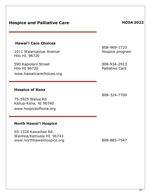## **Hospice and Palliative Care HCOA HCOA** 2022

## **Hawai'i Care Choices**

1011 Waianuenue Avenue Hilo HI. 96720

590 Kapiolani Street Hilo HI 96720 www.hawaiicarechoices.org

### **Hospice of Kona**

75-5925 Walua Rd Kailua-Kona, HI 96740 www.hospiceofkona.org

## **North Hawai'i Hospice**

65-1328 Kawaihae Rd. Waimea/Kamuela HI. 96743 www.northhawaiihospice.org 808-885-7547

808-969-1733 Hospice program

808-934-2913 Palliative Care

808-324-7700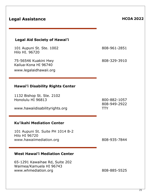| <b>Legal Assistance</b>                                                             | <b>HCOA 2022</b>                           |
|-------------------------------------------------------------------------------------|--------------------------------------------|
| <b>Legal Aid Society of Hawai'i</b>                                                 |                                            |
| 101 Aupuni St. Ste. 1002<br>Hilo HI, 96720                                          | 808-961-2851                               |
| 75-56546 Kuakini Hwy<br>Kailua-Kona HI 96740<br>www.legalaidhawaii.org              | 808-329-3910                               |
| <b>Hawai'i Disability Rights Center</b>                                             |                                            |
| 1132 Bishop St. Ste. 2102<br>Honolulu HI 96813<br>www.hawaiidisabilityrights.org    | 800-882-1057<br>808-949-2922<br><b>TTY</b> |
| <b>Ku'ikahi Mediation Center</b>                                                    |                                            |
| 101 Aupuni St. Suite PH 1014 B-2<br><b>Hilo HI 96720</b><br>www.hawaiimediation.org | 808-935-7844                               |
| <b>West Hawai'i Mediation Center</b>                                                |                                            |
| 65-1291 Kawaihae Rd, Suite 202<br>Waimea/Kamuela HI 96743<br>www.whmediation.org    | 808-885-5525                               |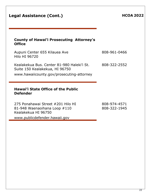| <b>Legal Assistance (Cont.)</b>                                                                                           | <b>HCOA 2022</b> |
|---------------------------------------------------------------------------------------------------------------------------|------------------|
| <b>County of Hawai'i Prosecuting Attorney's</b><br><b>Office</b>                                                          |                  |
| Aupuni Center 655 Kilauea Ave<br>Hilo HI 96720                                                                            | 808-961-0466     |
| Kealakekua Bus. Center 81-980 Haleki'i St.<br>Suite 150 Kealakekua, HI 96750<br>www.hawaiicounty.gov/prosecuting-attorney | 808-322-2552     |
| <b>Hawai'i State Office of the Public</b><br><b>Defender</b>                                                              |                  |

275 Ponahawai Street #201 Hilo HI 808-974-4571 81-948 Waenaoihana Loop #110 Kealakekua HI 96750 www.publicdefender.hawaii.gov

808-322-1945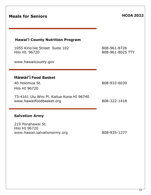| <b>Meals for Seniors</b>                                                                    | <b>HCOA 2022</b>                 |
|---------------------------------------------------------------------------------------------|----------------------------------|
| <b>Hawai'i County Nutrition Program</b><br>1055 Kino'ole Street Suite 102<br>Hilo HI. 96720 | 808-961-8726<br>808-961-8025 TTY |
| www.hawaiicounty.gov                                                                        |                                  |
| <b>Hawai'i Food Basket</b><br>40 Holomua St.<br><b>Hilo HI 96720</b>                        | 808-933-6030                     |
| 73-4161 Ulu Wini Pl. Kailua Kona HI 96740<br>www.hawaiifoodbasket.org                       | 808-322-1418                     |
| <b>Salvation Army</b>                                                                       |                                  |
| 219 Ponahawai St.<br><b>Hilo HI 96720</b><br>www.hawaii.salvationarmy.org                   | 808-935-1277                     |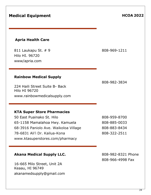# **Medical Equipment HCOA 2022**

## **Apria Health Care**

811 Laukapu St. # 9 808-969-1211 Hilo HI. 96720 www/apria.com

## **Rainbow Medical Supply**

224 Haili Street Suite B- Back Hilo HI 96720 www.rainbowmedicalsupply.com

## **KTA Super Store Pharmacies**

50 East Puainako St. Hilo 808-959-8700 65-1158 Mamalahoa Hwy. Kamuela 808-885-0033 68-3916 Paniolo Ave. Waikoloa Village 808-883-8434 78-6831 Ali'i Dr. Kailua-Kona 1988 - 808-322-2511 www.ktasuperstores.com/pharmacy

## Akana Medical Supply LLC. 808-982-8321 Phone

16-665 Milo Street, Unit 2A Keaau, HI 96749 akanamedsupply@gmail.com

808-982-3834

808-966-4998 Fax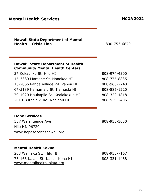# **Hawai'i State Department of Health Community Mental Health Centers** 37 Kekaulike St. Hilo HI 808-974-4300 45-3380 Mamane St. Honokaa HI 808-775-8835 15-2866 Pahoa Village Rd. Pahoa HI 808-965-2240 67-5189 Kamamalu St. Kamuela HI 808-885-1220 79-1020 Haukapila St. Kealakekua HI 808-322-4818 2019-B Kaalaiki Rd. Naalehu HI 808-939-2406 **Hope Services** 357 Waianuenue Ave 808-935-3050 Hilo HI. 96720 www.hopeserviceshawaii.org **Mental Health Kokua**

208 Wainaku St. Hilo HI 808-935-7167 75-166 Kalani St. Kailua-Kona HI 808-331-1468 [www.mentalhealthkokua.org](http://www.mentalhealthkokua.org/)

**Health – Crisis Line** 1-800-753-6879

## **Mental Health Services Mental Health Services HCOA** 2022

**Hawaii State Department of Mental**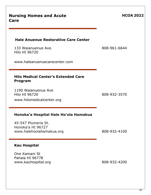| <b>Nursing Homes and Acute</b><br>Care                                                                                                                                     | <b>HCOA 2022</b> |
|----------------------------------------------------------------------------------------------------------------------------------------------------------------------------|------------------|
| <b>Hale Anuenue Restorative Care Center</b><br>133 Waianuenue Ave.<br><b>Hilo HI 96720</b><br>www.haleanuenuecarecenter.com                                                | 808-961-6644     |
| <b>Hilo Medical Center's Extended Care</b><br><b>Program</b><br>1190 Waianuenue Ave<br>Hilo HI 96720<br>www.hilomedicalcenter.org<br>Honoka'a Hospital Hale Ho'ola Hamakua | 808-932-3570     |
| 45-547 Plumeria St.<br>Honoka'a HI 96727<br>www.halehoolahamakua.org                                                                                                       | 808-932-4100     |
| <b>Kau Hospital</b><br>One Kamani St<br>Pahala HI 96778<br>www.kauhospital.org                                                                                             | 808-932-4200     |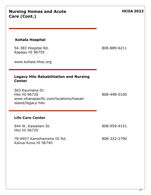| Care (Cont.)                                                                                                                                                              |                              |
|---------------------------------------------------------------------------------------------------------------------------------------------------------------------------|------------------------------|
| <b>Kohala Hospital</b><br>54-383 Hospital Rd.<br>Kapaau HI 96755<br>www.kohala.hhsc.org                                                                                   | 808-889-6211                 |
| <b>Legacy Hilo Rehabilitation and Nursing</b><br><b>Center</b><br>563 Kaumana Dr.<br><b>Hilo HI 96720</b><br>www.ohanapacific.com/locations/hawaii-<br>island/legacy-hilo | 808-498-0100                 |
| <b>Life Care Center</b><br>944 W. Kawailani St.<br><b>Hilo HI 96720</b><br>78-6957 Kamehameha III Rd.<br>Kailua-Kona HI 96740                                             | 808-959-9151<br>808-322-2790 |

**Nursing Homes and Acute** 

**HCOA 2022**

27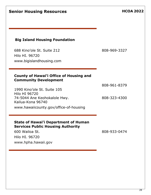| <b>Senior Housing Resources</b>                                                         | <b>HCOA 2022</b> |
|-----------------------------------------------------------------------------------------|------------------|
| <b>Big Island Housing Foundation</b>                                                    |                  |
| 688 Kino'ole St. Suite 212<br>Hilo HI, 96720<br>www.bigislandhousing.com                | 808-969-3327     |
| <b>County of Hawai'i Office of Housing and</b><br><b>Community Development</b>          |                  |
| 1990 Kino'ole St. Suite 105                                                             | 808-961-8379     |
| <b>Hilo HI 96720</b><br>74-5044 Ane Keohokalole Hwy.<br>Kailua-Kona 96740               | 808-323-4300     |
|                                                                                         |                  |
| www.hawaiicounty.gov/office-of-housing                                                  |                  |
| <b>State of Hawai'i Department of Human</b><br><b>Services Public Housing Authority</b> |                  |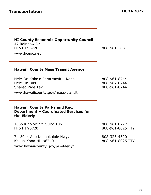## **Transportation HCOA 2022**

## **HI County Economic Opportunity Council**

47 Rainbow Dr. Hilo HI 96720 808-961-2681 www.hceoc.net

### **Hawai'i County Mass Transit Agency**

Hele-On Kako'o Paratransit – Kona Hele-On Bus Shared Ride Taxi www.hawaiicounty.gov/mass-transit 808-961-8744 808-967-8744 808-961-8744

### **Hawai'i County Parks and Rec. Department – Coordinated Services for the Elderly**

1055 Kino'ole St. Suite 106 Hilo HI 96720

74-5044 Ane Keohokalole Hwy, Kailua-Kona HI. 96740 www.hawaiicounty.gov/pr-elderly/ 808-961-8777 808-961-8025 TTY

808-323-4320 808-961-8025 TTY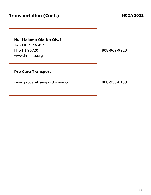## **Transportation (Cont.) HCOA** 2022

## **Hui Malama Ola Na Oiwi**

1438 Kilauea Ave Hilo HI 96720 808-969-9220 www.hmono.org

## **Pro Care Transport**

www.procaretransporthawaii.com 808-935-0183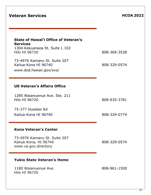| <b>Veteran Services</b>                                                                                                                                                                              | <b>HCOA 2022</b>             |
|------------------------------------------------------------------------------------------------------------------------------------------------------------------------------------------------------|------------------------------|
| <b>State of Hawai'i Office of Veteran's</b><br><b>Services</b><br>1304 Kekuanaoa St. Suite L 102<br>Hilo HI 96720<br>73-4976 Kamanu St. Suite 207<br>Kailua-Kona HI 96740<br>www.dod.hawaii.gov/ovs/ | 808-369-3538<br>808-329-0574 |
| <b>US Veteran's Affairs Office</b>                                                                                                                                                                   |                              |
| 1285 Waianuenue Ave. Ste. 211<br><b>Hilo HI 96720</b>                                                                                                                                                | 808-935-3781                 |
| 75-377 Hualalai Rd<br>Kailua-Kona HI 96740                                                                                                                                                           | 808-329-0774                 |
| <b>Kona Veteran's Center</b>                                                                                                                                                                         |                              |
| 73-4976 Kamanu St. Suite 207<br>Kailua-Kona, HI 96740<br>www.va.gov.directory                                                                                                                        | 808-329-0574                 |
| <b>Yukio State Veteran's Home</b>                                                                                                                                                                    |                              |
| 1180 Waianuenue Ave.<br><b>Hilo HI 96720</b>                                                                                                                                                         | 808-961-1500                 |